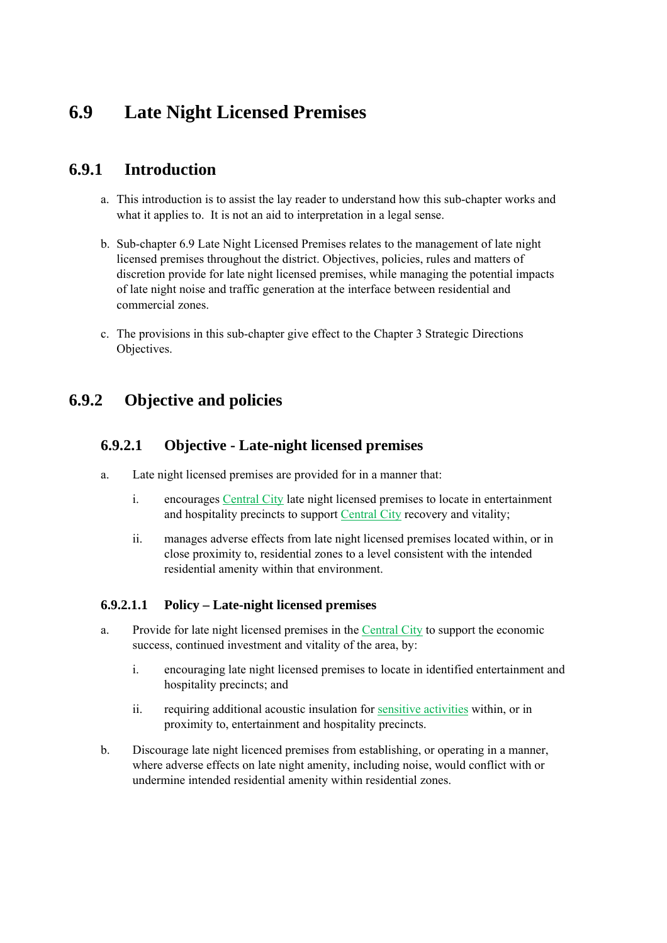# **6.9 Late Night Licensed Premises**

## **6.9.1 Introduction**

- a. This introduction is to assist the lay reader to understand how this sub-chapter works and what it applies to. It is not an aid to interpretation in a legal sense.
- b. Sub-chapter 6.9 Late Night Licensed Premises relates to the management of late night licensed premises throughout the district. Objectives, policies, rules and matters of discretion provide for late night licensed premises, while managing the potential impacts of late night noise and traffic generation at the interface between residential and commercial zones.
- c. The provisions in this sub-chapter give effect to the Chapter 3 Strategic Directions Objectives.

## **6.9.2 Objective and policies**

## **6.9.2.1 Objective - Late-night licensed premises**

- a. Late night licensed premises are provided for in a manner that:
	- i. encourages Central City late night licensed premises to locate in entertainment and hospitality precincts to support Central City recovery and vitality;
	- ii. manages adverse effects from late night licensed premises located within, or in close proximity to, residential zones to a level consistent with the intended residential amenity within that environment.

### **6.9.2.1.1 Policy – Late-night licensed premises**

- a. Provide for late night licensed premises in the Central City to support the economic success, continued investment and vitality of the area, by:
	- i. encouraging late night licensed premises to locate in identified entertainment and hospitality precincts; and
	- ii. requiring additional acoustic insulation for sensitive activities within, or in proximity to, entertainment and hospitality precincts.
- b. Discourage late night licenced premises from establishing, or operating in a manner, where adverse effects on late night amenity, including noise, would conflict with or undermine intended residential amenity within residential zones.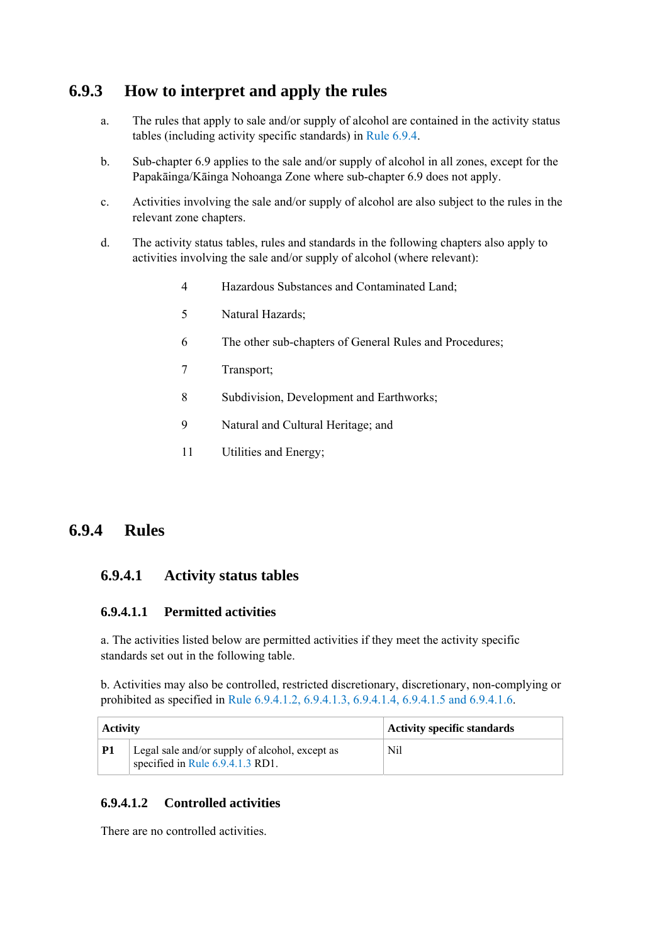## **6.9.3 How to interpret and apply the rules**

- a. The rules that apply to sale and/or supply of alcohol are contained in the activity status tables (including activity specific standards) in Rule 6.9.4.
- b. Sub-chapter 6.9 applies to the sale and/or supply of alcohol in all zones, except for the Papakāinga/Kāinga Nohoanga Zone where sub-chapter 6.9 does not apply.
- c. Activities involving the sale and/or supply of alcohol are also subject to the rules in the relevant zone chapters.
- d. The activity status tables, rules and standards in the following chapters also apply to activities involving the sale and/or supply of alcohol (where relevant):
	- 4 Hazardous Substances and Contaminated Land;
	- 5 Natural Hazards;
	- 6 The other sub-chapters of General Rules and Procedures;
	- 7 Transport;
	- 8 Subdivision, Development and Earthworks;
	- 9 Natural and Cultural Heritage; and
	- 11 Utilities and Energy;

## **6.9.4 Rules**

## **6.9.4.1 Activity status tables**

#### **6.9.4.1.1 Permitted activities**

a. The activities listed below are permitted activities if they meet the activity specific standards set out in the following table.

b. Activities may also be controlled, restricted discretionary, discretionary, non-complying or prohibited as specified in Rule 6.9.4.1.2, 6.9.4.1.3, 6.9.4.1.4, 6.9.4.1.5 and 6.9.4.1.6.

| <b>Activity</b> |                                                                                    | Activity specific standards |
|-----------------|------------------------------------------------------------------------------------|-----------------------------|
| <b>P1</b>       | Legal sale and/or supply of alcohol, except as<br>specified in Rule 6.9.4.1.3 RD1. | Nil                         |

### **6.9.4.1.2 Controlled activities**

There are no controlled activities.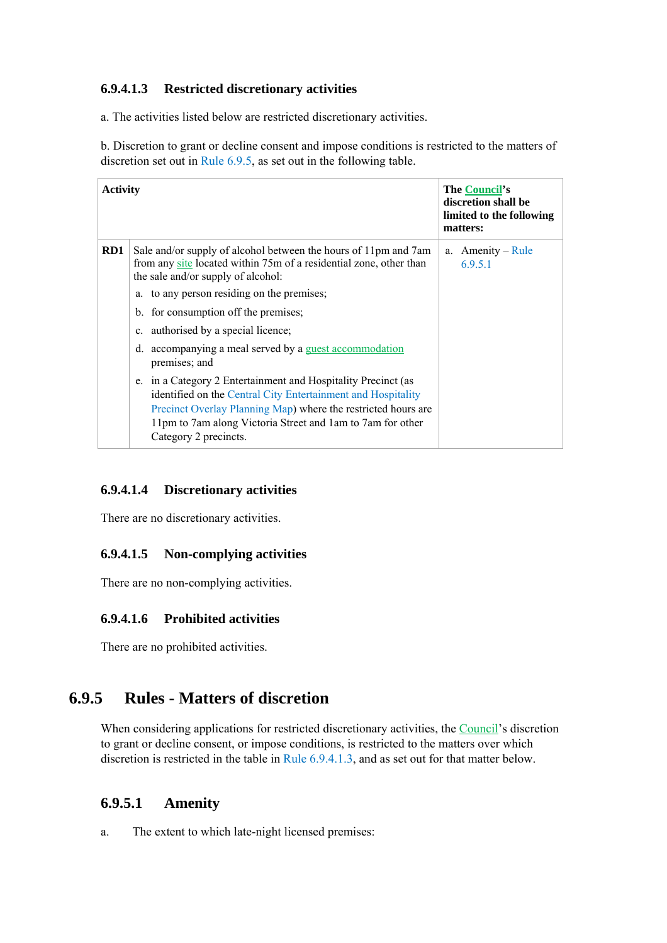### **6.9.4.1.3 Restricted discretionary activities**

a. The activities listed below are restricted discretionary activities.

b. Discretion to grant or decline consent and impose conditions is restricted to the matters of discretion set out in Rule 6.9.5, as set out in the following table.

| <b>Activity</b> |                                                                                                                                                                                                                                                                                       | The Council's<br>discretion shall be<br>limited to the following<br>matters: |
|-----------------|---------------------------------------------------------------------------------------------------------------------------------------------------------------------------------------------------------------------------------------------------------------------------------------|------------------------------------------------------------------------------|
| RD1             | Sale and/or supply of alcohol between the hours of 11pm and 7am<br>from any site located within 75m of a residential zone, other than<br>the sale and/or supply of alcohol:                                                                                                           | $A$ menity – Rule<br>a.<br>6.9.5.1                                           |
|                 | a. to any person residing on the premises;                                                                                                                                                                                                                                            |                                                                              |
|                 | b. for consumption off the premises;                                                                                                                                                                                                                                                  |                                                                              |
|                 | c. authorised by a special licence;                                                                                                                                                                                                                                                   |                                                                              |
|                 | d. accompanying a meal served by a guest accommodation<br>premises; and                                                                                                                                                                                                               |                                                                              |
|                 | e. in a Category 2 Entertainment and Hospitality Precinct (as<br>identified on the Central City Entertainment and Hospitality<br>Precinct Overlay Planning Map) where the restricted hours are<br>11pm to 7am along Victoria Street and 1am to 7am for other<br>Category 2 precincts. |                                                                              |

## **6.9.4.1.4 Discretionary activities**

There are no discretionary activities.

### **6.9.4.1.5 Non-complying activities**

There are no non-complying activities.

### **6.9.4.1.6 Prohibited activities**

There are no prohibited activities.

## **6.9.5 Rules - Matters of discretion**

When considering applications for restricted discretionary activities, the Council's discretion to grant or decline consent, or impose conditions, is restricted to the matters over which discretion is restricted in the table in Rule 6.9.4.1.3, and as set out for that matter below.

## **6.9.5.1 Amenity**

a. The extent to which late-night licensed premises: